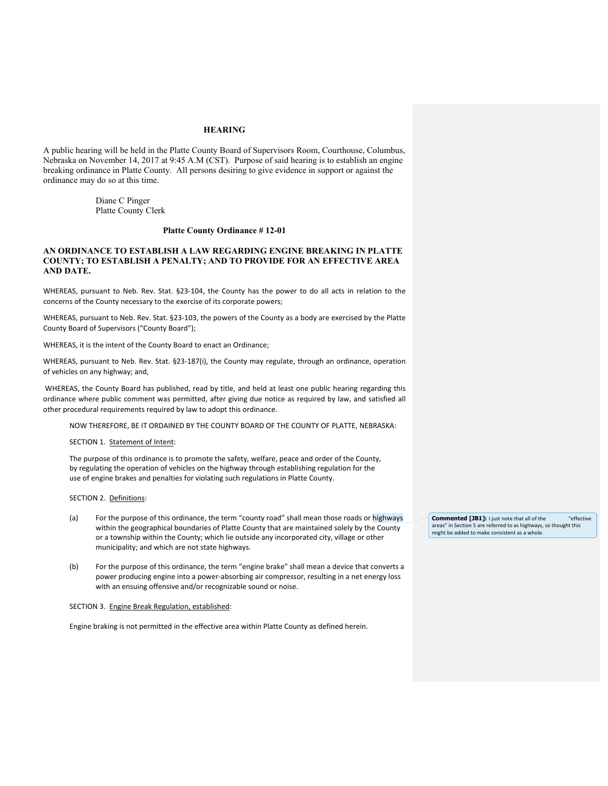# **HEARING**

A public hearing will be held in the Platte County Board of Supervisors Room, Courthouse, Columbus, Nebraska on November 14, 2017 at 9:45 A.M (CST). Purpose of said hearing is to establish an engine breaking ordinance in Platte County. All persons desiring to give evidence in support or against the ordinance may do so at this time.

> Diane C Pinger Platte County Clerk

# **Platte County Ordinance # 12-01**

# **AN ORDINANCE TO ESTABLISH A LAW REGARDING ENGINE BREAKING IN PLATTE COUNTY; TO ESTABLISH A PENALTY; AND TO PROVIDE FOR AN EFFECTIVE AREA AND DATE.**

WHEREAS, pursuant to Neb. Rev. Stat. §23-104, the County has the power to do all acts in relation to the concerns of the County necessary to the exercise of its corporate powers;

WHEREAS, pursuant to Neb. Rev. Stat. §23‐103, the powers of the County as a body are exercised by the Platte County Board of Supervisors ("County Board");

WHEREAS, it is the intent of the County Board to enact an Ordinance;

WHEREAS, pursuant to Neb. Rev. Stat. §23‐187(i), the County may regulate, through an ordinance, operation of vehicles on any highway; and,

 WHEREAS, the County Board has published, read by title, and held at least one public hearing regarding this ordinance where public comment was permitted, after giving due notice as required by law, and satisfied all other procedural requirements required by law to adopt this ordinance.

NOW THEREFORE, BE IT ORDAINED BY THE COUNTY BOARD OF THE COUNTY OF PLATTE, NEBRASKA:

SECTION 1. Statement of Intent:

The purpose of this ordinance is to promote the safety, welfare, peace and order of the County, by regulating the operation of vehicles on the highway through establishing regulation for the use of engine brakes and penalties for violating such regulations in Platte County.

#### SECTION 2. Definitions:

- (a) For the purpose of this ordinance, the term "county road" shall mean those roads or highways within the geographical boundaries of Platte County that are maintained solely by the County or a township within the County; which lie outside any incorporated city, village or other municipality; and which are not state highways.
- (b) For the purpose of this ordinance, the term "engine brake" shall mean a device that converts a power producing engine into a power‐absorbing air compressor, resulting in a net energy loss with an ensuing offensive and/or recognizable sound or noise.

#### SECTION 3. Engine Break Regulation, established:

Engine braking is not permitted in the effective area within Platte County as defined herein.

**Commented [JB1]:** I just note that all of the "effective areas" in Section 5 are referred to as highways, so thought this might be added to make consistent as a whole.